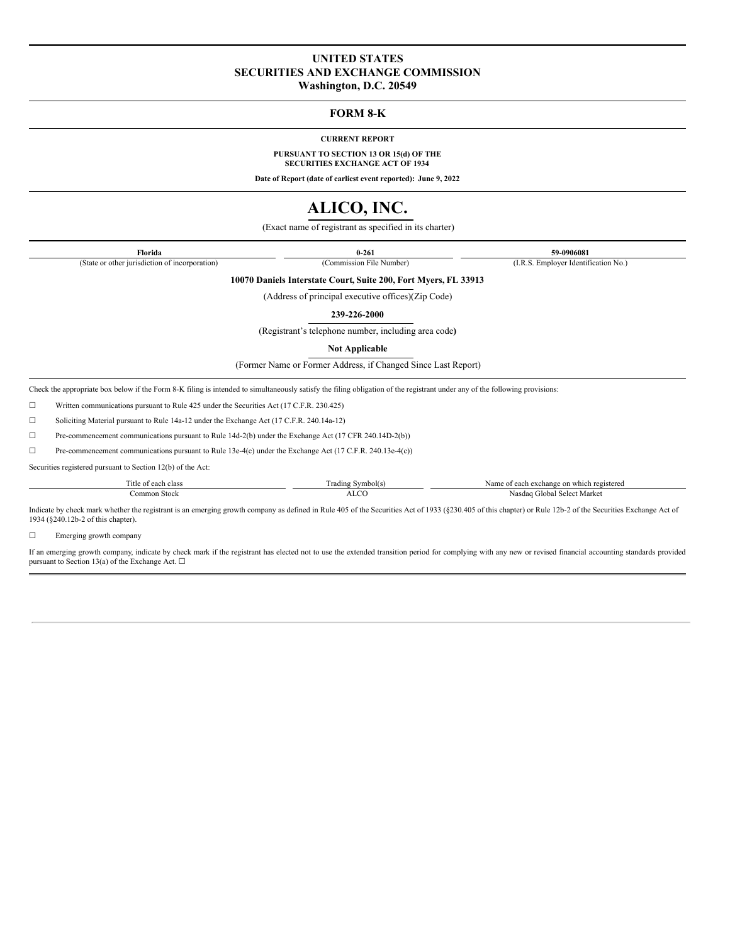## **UNITED STATES SECURITIES AND EXCHANGE COMMISSION**

**Washington, D.C. 20549**

## **FORM 8-K**

**CURRENT REPORT**

**PURSUANT TO SECTION 13 OR 15(d) OF THE SECURITIES EXCHANGE ACT OF 1934**

**Date of Report (date of earliest event reported): June 9, 2022**

## **ALICO, INC.**

(Exact name of registrant as specified in its charter)

**Florida 0-261 59-0906081** (State or other jurisdiction of incorporation) (Commission File Number) (I.R.S. Employer Identification No.)

**10070 Daniels Interstate Court, Suite 200, Fort Myers, FL 33913**

(Address of principal executive offices)(Zip Code)

**239-226-2000**

(Registrant's telephone number, including area code**)**

**Not Applicable**

(Former Name or Former Address, if Changed Since Last Report)

Check the appropriate box below if the Form 8-K filing is intended to simultaneously satisfy the filing obligation of the registrant under any of the following provisions:

☐ Written communications pursuant to Rule 425 under the Securities Act (17 C.F.R. 230.425)

☐ Soliciting Material pursuant to Rule 14a-12 under the Exchange Act (17 C.F.R. 240.14a-12)

☐ Pre-commencement communications pursuant to Rule 14d-2(b) under the Exchange Act (17 CFR 240.14D-2(b))

☐ Pre-commencement communications pursuant to Rule 13e-4(c) under the Exchange Act (17 C.F.R. 240.13e-4(c))

Securities registered pursuant to Section 12(b) of the Act:

| l'itle of<br>clas | $\sim$<br>$\sim$<br>$\mathbf{L}$ , $\mathbf{L}$<br>1111.71<br>. | Name<br>registered.<br>$c$ xchange $\sim$<br>on |
|-------------------|-----------------------------------------------------------------|-------------------------------------------------|
| `ommon<br>∟Stock  |                                                                 | . iloba<br>Aarke<br>Nasdar.<br>$. \nabla \rho$  |

Indicate by check mark whether the registrant is an emerging growth company as defined in Rule 405 of the Securities Act of 1933 (§230.405 of this chapter) or Rule 12b-2 of the Securities Exchange Act of 1934 (§240.12b-2 of this chapter).

☐ Emerging growth company

If an emerging growth company, indicate by check mark if the registrant has elected not to use the extended transition period for complying with any new or revised financial accounting standards provided pursuant to Section 13(a) of the Exchange Act.  $\Box$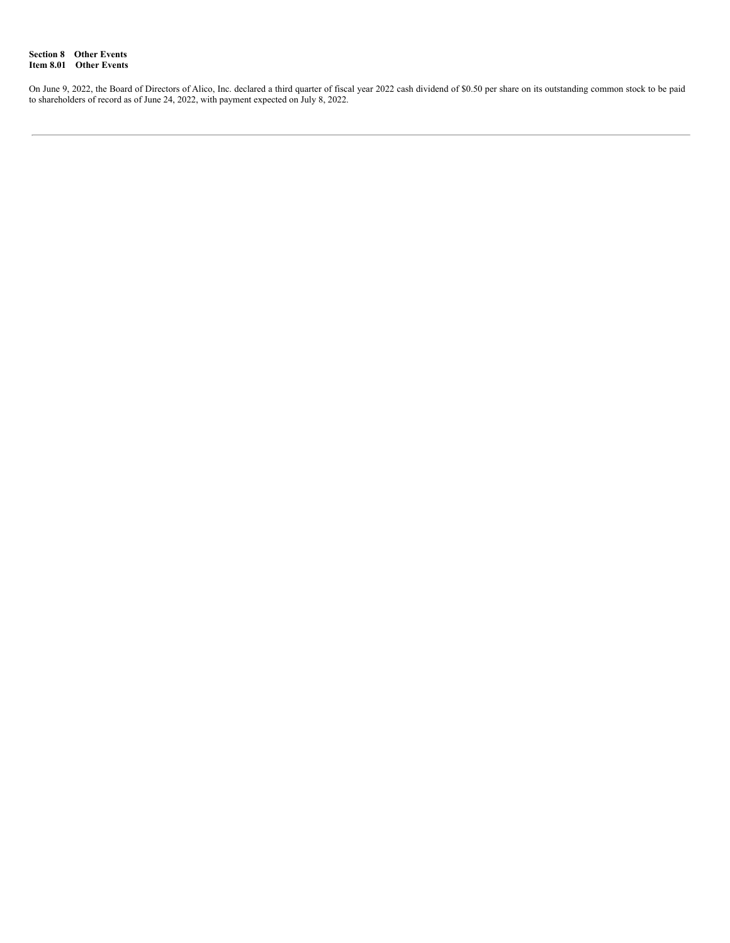**Section 8 Other Events Item 8.01 Other Events**

On June 9, 2022, the Board of Directors of Alico, Inc. declared a third quarter of fiscal year 2022 cash dividend of \$0.50 per share on its outstanding common stock to be paid to shareholders of record as of June 24, 2022, with payment expected on July 8, 2022.